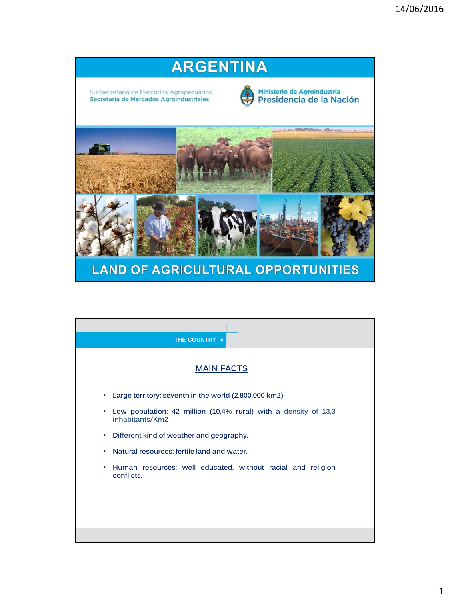

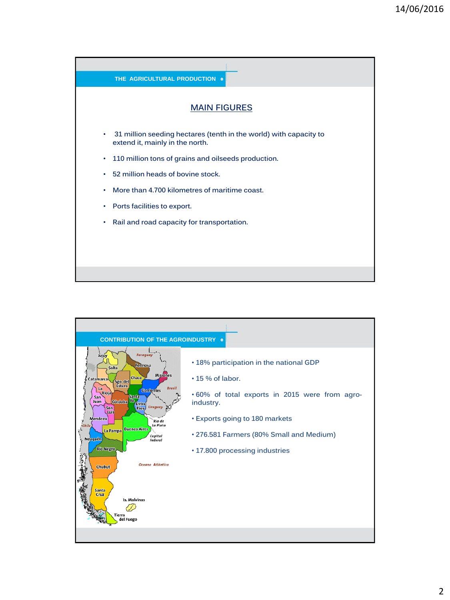

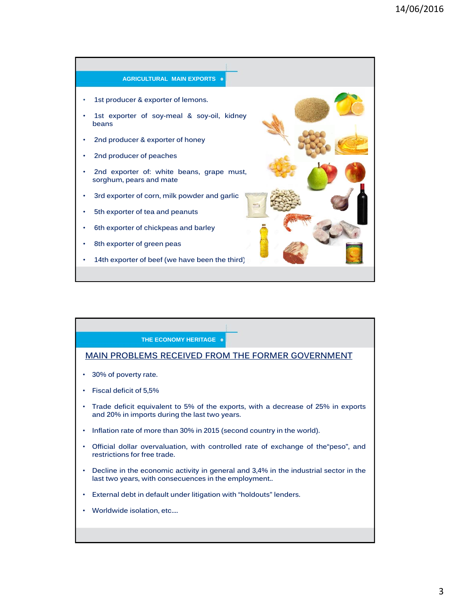

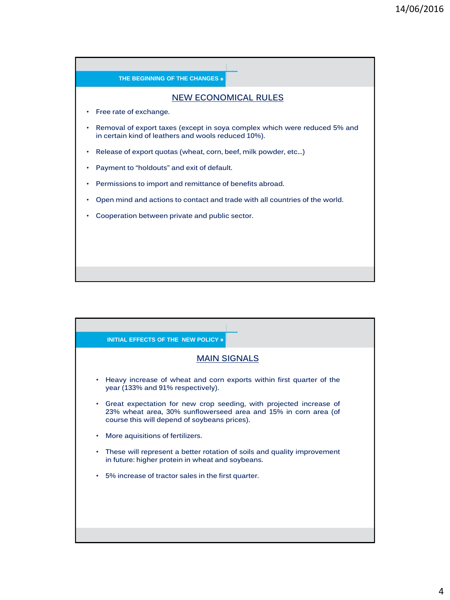

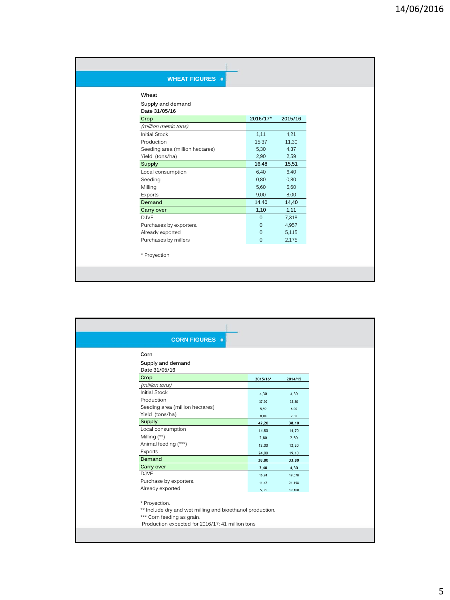| <b>WHEAT FIGURES ·</b>             |                |         |
|------------------------------------|----------------|---------|
| Wheat                              |                |         |
| Supply and demand<br>Date 31/05/16 |                |         |
| Crop                               | 2016/17*       | 2015/16 |
| (million metric tons)              |                |         |
| <b>Initial Stock</b>               | 1,11           | 4,21    |
| Production                         | 15,37          | 11,30   |
| Seeding area (million hectares)    | 5,30           | 4,37    |
| Yield (tons/ha)                    | 2,90           | 2,59    |
| Supply                             | 16,48          | 15,51   |
| Local consumption                  | 6,40           | 6,40    |
| Seeding                            | 0.80           | 0.80    |
| Milling                            | 5,60           | 5,60    |
| Exports                            | 9,00           | 8,00    |
| Demand                             | 14,40          | 14,40   |
| Carry over                         | 1,10           | 1,11    |
| <b>DJVE</b>                        | $\Omega$       | 7,318   |
| Purchases by exporters.            | $\mathbf 0$    | 4,957   |
| Already exported                   | $\mathbf{0}$   | 5,115   |
| Purchases by millers               | $\overline{0}$ | 2,175   |
| * Proyection                       |                |         |
|                                    |                |         |

| <b>CORN FIGURES</b> .                                                                                                                                        |          |         |  |  |
|--------------------------------------------------------------------------------------------------------------------------------------------------------------|----------|---------|--|--|
| Corn                                                                                                                                                         |          |         |  |  |
| Supply and demand<br>Date 31/05/16                                                                                                                           |          |         |  |  |
| Crop                                                                                                                                                         | 2015/16* | 2014/15 |  |  |
| (million tons)                                                                                                                                               |          |         |  |  |
| <b>Initial Stock</b>                                                                                                                                         | 4,30     | 4,30    |  |  |
| Production                                                                                                                                                   | 37,90    | 33,80   |  |  |
| Seeding area (million hectares)                                                                                                                              | 5,99     | 6,00    |  |  |
| Yield (tons/ha)                                                                                                                                              | 8,04     | 7,30    |  |  |
| Supply                                                                                                                                                       | 42,20    | 38,10   |  |  |
| Local consumption                                                                                                                                            | 14,80    | 14,70   |  |  |
| Milling (**)                                                                                                                                                 | 2,80     | 2,50    |  |  |
| Animal feeding (***)                                                                                                                                         | 12,00    | 12,20   |  |  |
| Exports                                                                                                                                                      | 24,00    | 19,10   |  |  |
| Demand                                                                                                                                                       | 38,80    | 33,80   |  |  |
| Carry over                                                                                                                                                   | 3,40     | 4,30    |  |  |
| D.JVF                                                                                                                                                        | 16,94    | 19,578  |  |  |
| Purchase by exporters.                                                                                                                                       | 11,47    | 21,198  |  |  |
| Already exported                                                                                                                                             | 5,38     | 19,100  |  |  |
| * Provection.<br>** Include dry and wet milling and bioethanol production.<br>*** Corn feeding as grain.<br>Production expected for 2016/17: 41 million tons |          |         |  |  |
|                                                                                                                                                              |          |         |  |  |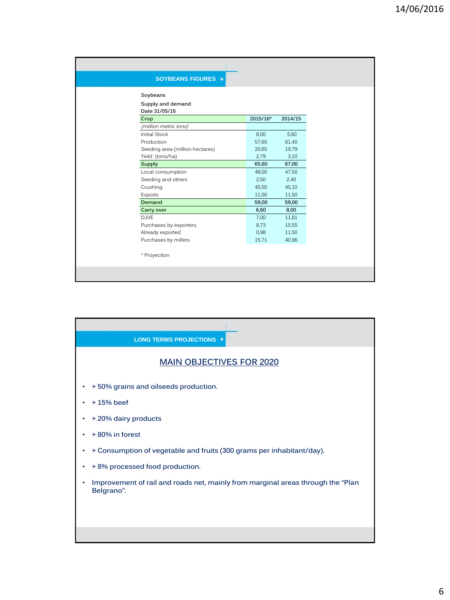| <b>SOYBEANS FIGURES ·</b>          |          |         |
|------------------------------------|----------|---------|
| Soybeans                           |          |         |
| Supply and demand<br>Date 31/05/16 |          |         |
| Crop                               | 2015/16* | 2014/15 |
| (million metric tons)              |          |         |
| <b>Initial Stock</b>               | 8,00     | 5,60    |
| Production                         | 57,60    | 61,40   |
| Seeding area (million hectares)    | 20,65    | 19,79   |
| Yield (tons/ha)                    | 2,79     | 3,10    |
| <b>Supply</b>                      | 65,60    | 67,00   |
| Local consumption                  | 48,00    | 47,50   |
| Seeding and others                 | 2,50     | 2,40    |
| Crushing                           | 45,50    | 45,10   |
| Exports                            | 11,00    | 11,50   |
| Demand                             | 59,00    | 59,00   |
| Carry over                         | 6,60     | 8,00    |
| <b>DJVE</b>                        | 7,00     | 11,81   |
| Purchases by exporters.            | 8,73     | 15,55   |
| Already exported                   | 0,98     | 11,50   |
| Purchases by millers               | 15,71    | 40,96   |
| * Proyection                       |          |         |
|                                    |          |         |